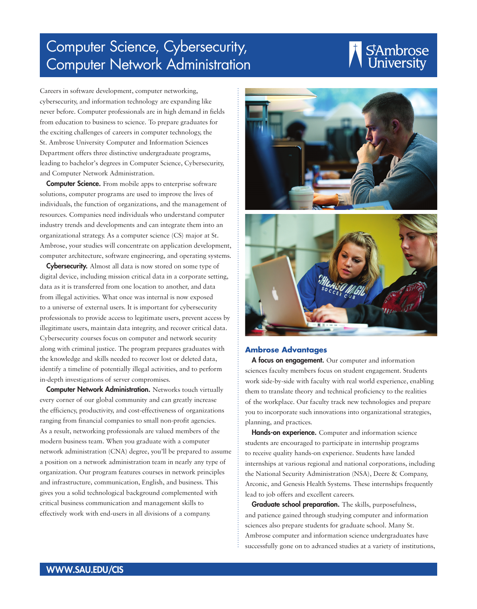## Computer Science, Cybersecurity, Computer Network Administration

## SAmbrose<br>University

Careers in software development, computer networking, cybersecurity, and information technology are expanding like never before. Computer professionals are in high demand in fields from education to business to science. To prepare graduates for the exciting challenges of careers in computer technology, the St. Ambrose University Computer and Information Sciences Department offers three distinctive undergraduate programs, leading to bachelor's degrees in Computer Science, Cybersecurity, and Computer Network Administration.

**Computer Science.** From mobile apps to enterprise software solutions, computer programs are used to improve the lives of individuals, the function of organizations, and the management of resources. Companies need individuals who understand computer industry trends and developments and can integrate them into an organizational strategy. As a computer science (CS) major at St. Ambrose, your studies will concentrate on application development, computer architecture, software engineering, and operating systems.

**Cybersecurity.** Almost all data is now stored on some type of digital device, including mission critical data in a corporate setting, data as it is transferred from one location to another, and data from illegal activities. What once was internal is now exposed to a universe of external users. It is important for cybersecurity professionals to provide access to legitimate users, prevent access by illegitimate users, maintain data integrity, and recover critical data. Cybersecurity courses focus on computer and network security along with criminal justice. The program prepares graduates with the knowledge and skills needed to recover lost or deleted data, identify a timeline of potentially illegal activities, and to perform in-depth investigations of server compromises.

**Computer Network Administration.** Networks touch virtually every corner of our global community and can greatly increase the efficiency, productivity, and cost-effectiveness of organizations ranging from financial companies to small non-profit agencies. As a result, networking professionals are valued members of the modern business team. When you graduate with a computer network administration (CNA) degree, you'll be prepared to assume a position on a network administration team in nearly any type of organization. Our program features courses in network principles and infrastructure, communication, English, and business. This gives you a solid technological background complemented with critical business communication and management skills to effectively work with end-users in all divisions of a company.





#### **Ambrose Advantages**

A focus on engagement. Our computer and information sciences faculty members focus on student engagement. Students work side-by-side with faculty with real world experience, enabling them to translate theory and technical proficiency to the realities of the workplace. Our faculty track new technologies and prepare you to incorporate such innovations into organizational strategies, planning, and practices.

Hands-on experience. Computer and information science students are encouraged to participate in internship programs to receive quality hands-on experience. Students have landed internships at various regional and national corporations, including the National Security Administration (NSA), Deere & Company, Arconic, and Genesis Health Systems. These internships frequently lead to job offers and excellent careers.

Graduate school preparation. The skills, purposefulness, and patience gained through studying computer and information sciences also prepare students for graduate school. Many St. Ambrose computer and information science undergraduates have successfully gone on to advanced studies at a variety of institutions,